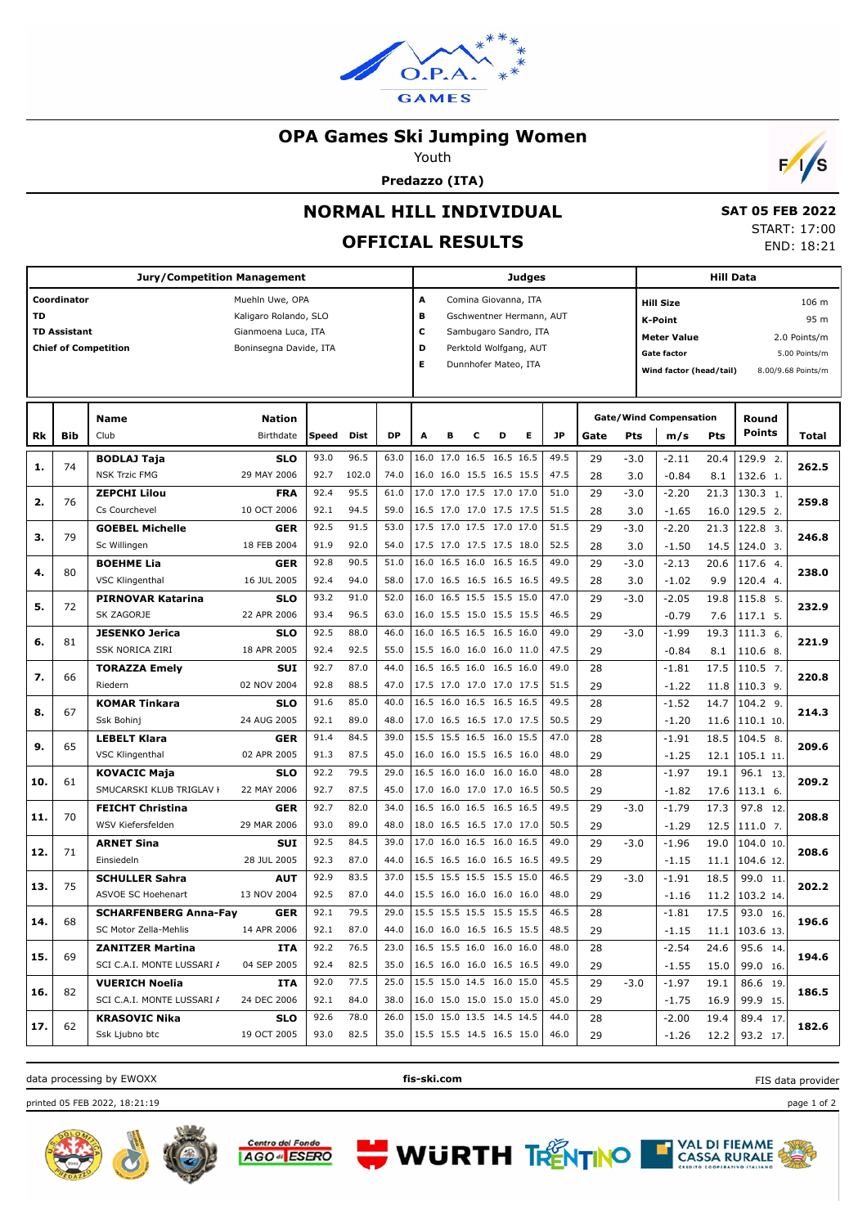

#### **OPA Games Ski Jumping Women**

Youth

**Predazzo (ITA)**



 **SAT 05 FEB 2022** START: 17:00 END: 18:21

# **NORMAL HILL INDIVIDUAL**

## **OFFICIAL RESULTS**

| <b>Jury/Competition Management</b> |                     |                              |                        |              |       |           |   | <b>Judges</b>                 |                          |   |                          |                                        |      |        | <b>Hill Data</b>              |            |                  |                    |  |
|------------------------------------|---------------------|------------------------------|------------------------|--------------|-------|-----------|---|-------------------------------|--------------------------|---|--------------------------|----------------------------------------|------|--------|-------------------------------|------------|------------------|--------------------|--|
|                                    | Coordinator         |                              |                        |              |       |           |   |                               |                          |   |                          |                                        |      |        |                               |            |                  |                    |  |
|                                    |                     |                              | Muehln Uwe, OPA        |              |       |           |   | А<br>Comina Giovanna, ITA     |                          |   |                          |                                        |      |        | <b>Hill Size</b><br>106 m     |            |                  |                    |  |
| TD                                 |                     |                              | Kaligaro Rolando, SLO  |              |       |           |   | в<br>Gschwentner Hermann, AUT |                          |   |                          |                                        |      |        | <b>K-Point</b>                |            |                  | 95 m               |  |
|                                    | <b>TD Assistant</b> |                              | Gianmoena Luca, ITA    |              |       |           | c |                               |                          |   | Sambugaro Sandro, ITA    |                                        |      |        | <b>Meter Value</b>            |            |                  | 2.0 Points/m       |  |
|                                    |                     | <b>Chief of Competition</b>  | Boninsegna Davide, ITA |              |       |           | D |                               |                          |   | Perktold Wolfgang, AUT   |                                        |      |        | <b>Gate factor</b>            |            |                  | 5.00 Points/m      |  |
|                                    |                     |                              |                        |              |       |           | Е |                               | Dunnhofer Mateo, ITA     |   |                          |                                        |      |        | Wind factor (head/tail)       |            |                  | 8.00/9.68 Points/m |  |
|                                    |                     |                              |                        |              |       |           |   |                               |                          |   |                          |                                        |      |        |                               |            |                  |                    |  |
|                                    |                     |                              |                        |              |       |           |   |                               |                          |   |                          |                                        |      |        |                               |            |                  |                    |  |
|                                    |                     | Name                         | <b>Nation</b>          |              |       |           |   |                               |                          |   |                          |                                        |      |        | <b>Gate/Wind Compensation</b> |            | Round            |                    |  |
| Rk                                 | Bib                 | Club                         | Birthdate              | <b>Speed</b> | Dist  | <b>DP</b> | A | в                             | c                        | D | Е                        | <b>JP</b>                              | Gate | Pts    | m/s                           | <b>Pts</b> | <b>Points</b>    | Total              |  |
| 1.                                 | 74                  | <b>BODLAJ Taja</b>           | <b>SLO</b>             | 93.0         | 96.5  | 63.0      |   |                               | 16.0 17.0 16.5 16.5 16.5 |   |                          | 49.5                                   | 29   | $-3.0$ | $-2.11$                       | 20.4       | 129.9 2.         | 262.5              |  |
|                                    |                     | <b>NSK Trzic FMG</b>         | 29 MAY 2006            | 92.7         | 102.0 | 74.0      |   |                               | 16.0 16.0 15.5 16.5 15.5 |   |                          | 47.5                                   | 28   | 3.0    | $-0.84$                       | 8.1        | 132.6 1.         |                    |  |
| 2.                                 | 76                  | <b>ZEPCHI Lilou</b>          | <b>FRA</b>             | 92.4         | 95.5  | 61.0      |   |                               | 17.0 17.0 17.5 17.0 17.0 |   |                          | 51.0                                   | 29   | $-3.0$ | $-2.20$                       | 21.3       | 130.3 1.         | 259.8              |  |
|                                    |                     | Cs Courchevel                | 10 OCT 2006            | 92.1         | 94.5  | 59.0      |   |                               | 16.5 17.0 17.0 17.5 17.5 |   |                          | 51.5                                   | 28   | 3.0    | $-1.65$                       | 16.0       | 129.5 2.         |                    |  |
|                                    | 79                  | <b>GOEBEL Michelle</b>       | <b>GER</b>             | 92.5         | 91.5  | 53.0      |   |                               | 17.5 17.0 17.5 17.0 17.0 |   |                          | 51.5                                   | 29   | $-3.0$ | $-2.20$                       | 21.3       | 122.8 3.         |                    |  |
| з.                                 |                     | Sc Willingen                 | 18 FEB 2004            | 91.9         | 92.0  | 54.0      |   |                               | 17.5 17.0 17.5 17.5 18.0 |   |                          | 52.5                                   | 28   | 3.0    | $-1.50$                       | 14.5       | 124.0 3.         | 246.8              |  |
| 4.                                 | 80                  | <b>BOEHME Lia</b>            | <b>GER</b>             | 92.8         | 90.5  | 51.0      |   |                               | 16.0 16.5 16.0 16.5 16.5 |   |                          | 49.0                                   | 29   | $-3.0$ | $-2.13$                       | 20.6       | 117.6 4.         |                    |  |
|                                    |                     | <b>VSC Klingenthal</b>       | 16 JUL 2005            | 92.4         | 94.0  | 58.0      |   |                               | 17.0 16.5 16.5 16.5 16.5 |   |                          | 49.5                                   | 28   | 3.0    | $-1.02$                       | 9.9        | 120.4 4.         | 238.0              |  |
| 5.                                 | 72                  | <b>PIRNOVAR Katarina</b>     | <b>SLO</b>             | 93.2         | 91.0  | 52.0      |   |                               | 16.0 16.5 15.5 15.5 15.0 |   |                          | 47.0                                   | 29   | $-3.0$ | $-2.05$                       | 19.8       | 115.8 5.         | 232.9              |  |
|                                    |                     | SK ZAGORJE                   | 22 APR 2006            | 93.4         | 96.5  | 63.0      |   |                               | 16.0 15.5 15.0 15.5 15.5 |   |                          | 46.5                                   | 29   |        | $-0.79$                       | 7.6        | 117.1 5.         |                    |  |
| 6.                                 | 81                  | <b>JESENKO Jerica</b>        | <b>SLO</b>             | 92.5         | 88.0  | 46.0      |   |                               | 16.0 16.5 16.5 16.5 16.0 |   |                          | 49.0                                   | 29   | $-3.0$ | $-1.99$                       | 19.3       | 111.3 6.         |                    |  |
|                                    |                     | SSK NORICA ZIRI              | 18 APR 2005            | 92.4         | 92.5  | 55.0      |   |                               | 15.5 16.0 16.0 16.0 11.0 |   |                          | 47.5                                   | 29   |        | $-0.84$                       | 8.1        | 110.6 8.         | 221.9              |  |
|                                    | 66                  | <b>TORAZZA Emely</b>         | <b>SUI</b>             | 92.7         | 87.0  | 44.0      |   |                               | 16.5 16.5 16.0 16.5 16.0 |   |                          | 49.0                                   | 28   |        | $-1.81$                       | 17.5       | 110.5 7.         |                    |  |
| 7.                                 |                     | Riedern                      | 02 NOV 2004            | 92.8         | 88.5  | 47.0      |   |                               | 17.5 17.0 17.0 17.0 17.5 |   |                          | 51.5                                   | 29   |        | $-1.22$                       | 11.8       | $110.3$ 9.       | 220.8              |  |
|                                    |                     | <b>KOMAR Tinkara</b>         | <b>SLO</b>             | 91.6         | 85.0  | 40.0      |   |                               | 16.5 16.0 16.5 16.5 16.5 |   |                          | 49.5                                   | 28   |        | $-1.52$                       | 14.7       | $104.2$ 9.       |                    |  |
| 8.                                 | 67                  | Ssk Bohinj                   | 24 AUG 2005            | 92.1         | 89.0  | 48.0      |   |                               | 17.0 16.5 16.5 17.0 17.5 |   |                          | 50.5                                   | 29   |        | $-1.20$                       | 11.6       | 110.1 10.        | 214.3              |  |
|                                    |                     | <b>LEBELT Klara</b>          | <b>GER</b>             | 91.4         | 84.5  | 39.0      |   |                               | 15.5 15.5 16.5 16.0 15.5 |   |                          | 47.0                                   | 28   |        | $-1.91$                       | 18.5       | $104.5$ 8.       | 209.6              |  |
| 9.                                 | 65                  | VSC Klingenthal              | 02 APR 2005            | 91.3         | 87.5  | 45.0      |   |                               | 16.0 16.0 15.5 16.5 16.0 |   |                          | 48.0                                   | 29   |        | $-1.25$                       | 12.1       | 105.1 11.        |                    |  |
|                                    |                     | <b>KOVACIC Maja</b>          | <b>SLO</b>             | 92.2         | 79.5  | 29.0      |   |                               | 16.5 16.0 16.0 16.0 16.0 |   |                          | 48.0                                   | 28   |        | $-1.97$                       | 19.1       | 96.1 13.         | 209.2              |  |
| 10.                                | 61                  | SMUCARSKI KLUB TRIGLAV I     | 22 MAY 2006            | 92.7         | 87.5  | 45.0      |   |                               | 17.0 16.0 17.0 17.0 16.5 |   |                          | 50.5                                   | 29   |        | $-1.82$                       | 17.6       | 113.1 6.         |                    |  |
|                                    | 70                  | <b>FEICHT Christina</b>      | <b>GER</b>             | 92.7         | 82.0  | 34.0      |   |                               | 16.5 16.0 16.5 16.5 16.5 |   |                          | 49.5                                   | 29   | $-3.0$ | $-1.79$                       | 17.3       | 97.8 12.         | 208.8              |  |
| 11.                                |                     | WSV Kiefersfelden            | 29 MAR 2006            | 93.0         | 89.0  | 48.0      |   |                               | 18.0 16.5 16.5 17.0 17.0 |   |                          | 50.5                                   | 29   |        | $-1.29$                       | 12.5       | 111.0 7.         |                    |  |
| 12.                                | 71                  | <b>ARNET Sina</b>            | <b>SUI</b>             | 92.5         | 84.5  | 39.0      |   |                               | 17.0 16.0 16.5 16.0 16.5 |   |                          | 49.0                                   | 29   | $-3.0$ | $-1.96$                       | 19.0       | 104.0 10.        | 208.6              |  |
|                                    |                     | Einsiedeln                   | 28 JUL 2005            | 92.3         | 87.0  | 44.0      |   |                               | 16.5 16.5 16.0 16.5 16.5 |   |                          | 49.5                                   | 29   |        | $-1.15$                       | 11.1       | 104.6 12.        |                    |  |
|                                    | 75                  | <b>SCHULLER Sahra</b>        | <b>AUT</b>             | 92.9         | 83.5  | 37.0      |   |                               | 15.5 15.5 15.5 15.5 15.0 |   |                          | 46.5                                   | 29   | $-3.0$ | $-1.91$                       | 18.5       | 99.0 11.         |                    |  |
| 13.                                |                     | ASVOE SC Hoehenart           | 13 NOV 2004            | 92.5         | 87.0  | 44.0      |   |                               | 15.5 16.0 16.0 16.0 16.0 |   |                          | 48.0                                   | 29   |        | $-1.16$                       | 11.2       | 103.2 14.        | 202.2              |  |
|                                    |                     | <b>SCHARFENBERG Anna-Fay</b> | GER                    | 92.1         | 79.5  | 29.0      |   |                               | 15.5 15.5 15.5 15.5 15.5 |   |                          | 46.5                                   | 28   |        | $-1.81$                       | 17.5       | 93.0 16.         |                    |  |
| 14.                                | 68                  | SC Motor Zella-Mehlis        | 14 APR 2006            | 92.1         | 87.0  | 44.0      |   |                               | 16.0 16.0 16.5 16.5 15.5 |   |                          | 48.5                                   | 29   |        | $-1.15$                       |            | 11.1   103.6 13. | 196.6              |  |
|                                    |                     | <b>ZANITZER Martina</b>      | ITA                    | 92.2         | 76.5  | 23.0      |   |                               | 16.5 15.5 16.0 16.0 16.0 |   |                          | 48.0                                   | 28   |        | $-2.54$                       | 24.6       | 95.6 14.         |                    |  |
| 15.                                | 69                  | SCI C.A.I. MONTE LUSSARI /   | 04 SEP 2005            | 92.4         | 82.5  | 35.0      |   |                               | 16.5 16.0 16.0 16.5 16.5 |   |                          | 49.0                                   | 29   |        | $-1.55$                       | 15.0       | 99.0 16.         | 194.6              |  |
|                                    |                     | <b>VUERICH Noelia</b>        | ITA                    | 92.0         | 77.5  | 25.0      |   |                               | 15.5 15.0 14.5 16.0 15.0 |   |                          | 45.5                                   | 29   | $-3.0$ | $-1.97$                       | 19.1       | 86.6 19.         |                    |  |
| 16.                                | 82                  | SCI C.A.I. MONTE LUSSARI /   | 24 DEC 2006            | 92.1         | 84.0  | 38.0      |   |                               |                          |   | 16.0 15.0 15.0 15.0 15.0 | 45.0                                   | 29   |        | $-1.75$                       | 16.9       | 99.9 15.         | 186.5              |  |
|                                    |                     | <b>KRASOVIC Nika</b>         | <b>SLO</b>             | 92.6         | 78.0  | 26.0      |   |                               | 15.0 15.0 13.5 14.5 14.5 |   |                          | 44.0                                   | 28   |        | $-2.00$                       | 19.4       | 89.4 17.         |                    |  |
| 17.                                | 62                  | Ssk Ljubno btc               | 19 OCT 2005            | 93.0         | 82.5  |           |   |                               |                          |   |                          | 35.0   15.5 15.5 14.5 16.5 15.0   46.0 | 29   |        | $-1.26$                       |            | $12.2$ 93.2 17.  | 182.6              |  |

data processing by EWOXX **fis-ski.com**

**WURTH TRENTINO** 

FIS data provider

printed 05 FEB 2022, 18:21:19 page 1 of 2